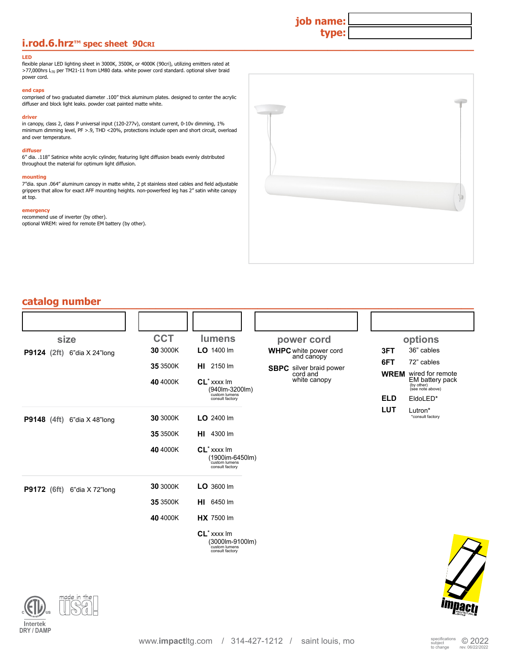## **i.rod.6.hrz**™ spec sheet 90cRI **Department of the state of the state of the state of the state of the state of the state of the state of the state of the state of the state of the state of the state of the state of the s**

#### **LED**

flexible planar LED lighting sheet in 3000K, 3500K, or 4000K (90cri), utilizing emitters rated at >77,000hrs L<sub>70</sub> per TM21-11 from LM80 data. white power cord standard. optional silver braid power cord.

### **end caps**

comprised of two graduated diameter .100" thick aluminum plates. designed to center the acrylic diffuser and block light leaks. powder coat painted matte white.

#### **driver**

in canopy, class 2, class P universal input (120-277v), constant current, 0-10v dimming, 1% minimum dimming level, PF >.9, THD <20%, protections include open and short circuit, overload and over temperature.

#### **diffuser**

6" dia. .118" Satinice white acrylic cylinder, featuring light diffusion beads evenly distributed throughout the material for optimum light diffusion.

#### **mounting**

7"dia. spun .064" aluminum canopy in matte white, 2 pt stainless steel cables and field adjustable grippers that allow for exact AFF mounting heights. non-powerfeed leg has 2" satin white canopy at top.

#### **emergency**

recommend use of inverter (by other). optional WREM: wired for remote EM battery (by other).



**job name:**

**type:**

| catalog number                        |            |                                                                                                 |                                            |            |                                                                     |
|---------------------------------------|------------|-------------------------------------------------------------------------------------------------|--------------------------------------------|------------|---------------------------------------------------------------------|
|                                       |            |                                                                                                 |                                            |            |                                                                     |
| size                                  | <b>CCT</b> | <b>lumens</b>                                                                                   | power cord                                 |            | options                                                             |
| <b>P9124</b> (2ft)<br>6"dia X 24"long | 30 3000K   | LO 1400 Im                                                                                      | <b>WHPC</b> white power cord<br>and canopy | 3FT        | 36" cables                                                          |
|                                       | 35 3500K   | <b>HI</b> 2150 lm                                                                               | <b>SBPC</b> silver braid power             | 6FT        | 72" cables                                                          |
|                                       | 40 4000K   | $CL^*$ xxxx $Im$<br>(940lm-3200lm)                                                              | cord and<br>white canopy                   |            | <b>WREM</b> wired for remote<br>EM battery pack<br>(see note above) |
|                                       |            | custom lumens<br>consult factory                                                                |                                            | <b>ELD</b> | EldoLED*                                                            |
| P9148 (4ft) 6"dia X 48"long           | 30 3000K   | $LO$ 2400 lm                                                                                    |                                            | <b>LUT</b> | Lutron*<br>*consult factory                                         |
|                                       | 35 3500K   | <b>HI</b> 4300 lm                                                                               |                                            |            |                                                                     |
|                                       | 40 4000K   | $CL^*$ xxxx $Im$<br>(1900im-6450lm)<br>custom lumens<br>consult factory                         |                                            |            |                                                                     |
| <b>P9172</b> (6ft)<br>6"dia X 72"long | 30 3000K   | $LO$ 3600 lm                                                                                    |                                            |            |                                                                     |
|                                       | 35 3500K   | HI 6450 lm                                                                                      |                                            |            |                                                                     |
|                                       | 40 4000K   | <b>HX</b> 7500 lm                                                                               |                                            |            |                                                                     |
|                                       |            | CL <sup>*</sup> xxxx lm<br>$(3000 \text{lm} - 9100 \text{lm})$ custom lumens<br>consult factory |                                            |            |                                                                     |

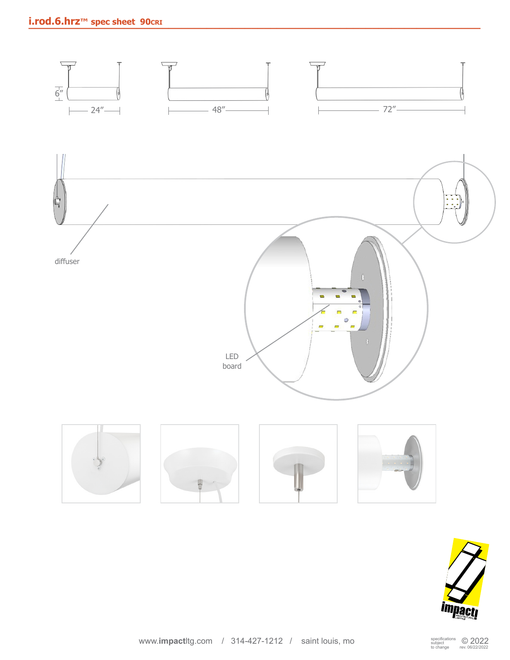# **i.rod.6.hrz**™ spec sheet 90cri